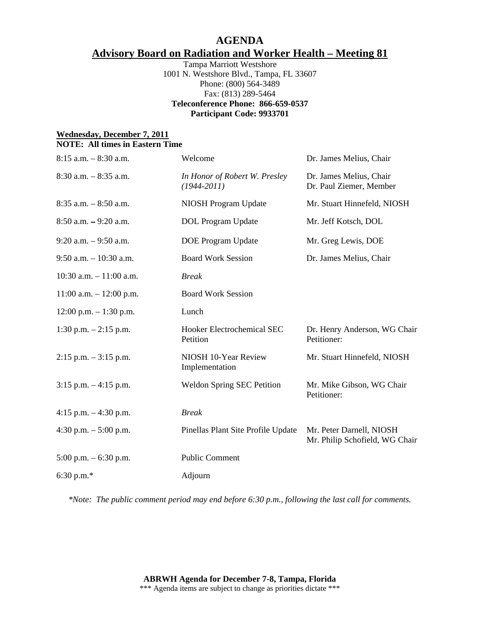## **AGENDA Advisory Board on Radiation and Worker Health – Meeting 81**

Tampa Marriott Westshore 1001 N. Westshore Blvd., Tampa, FL 33607 Phone: (800) 564-3489 Fax: (813) 289-5464 **Teleconference Phone: 866-659-0537 Participant Code: 9933701** 

## **Wednesday, December 7, 2011 NOTE: All times in Eastern Time**

| $8:15$ a.m. $-8:30$ a.m.    | Welcome                                          | Dr. James Melius, Chair                                    |
|-----------------------------|--------------------------------------------------|------------------------------------------------------------|
| $8:30$ a.m. $-8:35$ a.m.    | In Honor of Robert W. Presley<br>$(1944 - 2011)$ | Dr. James Melius, Chair<br>Dr. Paul Ziemer, Member         |
| $8:35$ a.m. $-8:50$ a.m.    | NIOSH Program Update                             | Mr. Stuart Hinnefeld, NIOSH                                |
| $8:50$ a.m. $-9:20$ a.m.    | <b>DOL</b> Program Update                        | Mr. Jeff Kotsch, DOL                                       |
| $9:20$ a.m. $-9:50$ a.m.    | <b>DOE</b> Program Update                        | Mr. Greg Lewis, DOE                                        |
| $9:50$ a.m. $-10:30$ a.m.   | <b>Board Work Session</b>                        | Dr. James Melius, Chair                                    |
| $10:30$ a.m. $-11:00$ a.m.  | <b>Break</b>                                     |                                                            |
| $11:00$ a.m. $- 12:00$ p.m. | <b>Board Work Session</b>                        |                                                            |
| $12:00$ p.m. $-1:30$ p.m.   | Lunch                                            |                                                            |
| $1:30$ p.m. $-2:15$ p.m.    | Hooker Electrochemical SEC<br>Petition           | Dr. Henry Anderson, WG Chair<br>Petitioner:                |
| $2:15$ p.m. $-3:15$ p.m.    | NIOSH 10-Year Review<br>Implementation           | Mr. Stuart Hinnefeld, NIOSH                                |
| $3:15$ p.m. $-4:15$ p.m.    | <b>Weldon Spring SEC Petition</b>                | Mr. Mike Gibson, WG Chair<br>Petitioner:                   |
| 4:15 p.m. $-4:30$ p.m.      | <b>Break</b>                                     |                                                            |
| 4:30 p.m. $-5:00$ p.m.      | Pinellas Plant Site Profile Update               | Mr. Peter Darnell, NIOSH<br>Mr. Philip Schofield, WG Chair |
| $5:00$ p.m. $-6:30$ p.m.    | <b>Public Comment</b>                            |                                                            |
| 6:30 p.m. $*$               | Adjourn                                          |                                                            |

*\*Note: The public comment period may end before 6:30 p.m., following the last call for comments.*